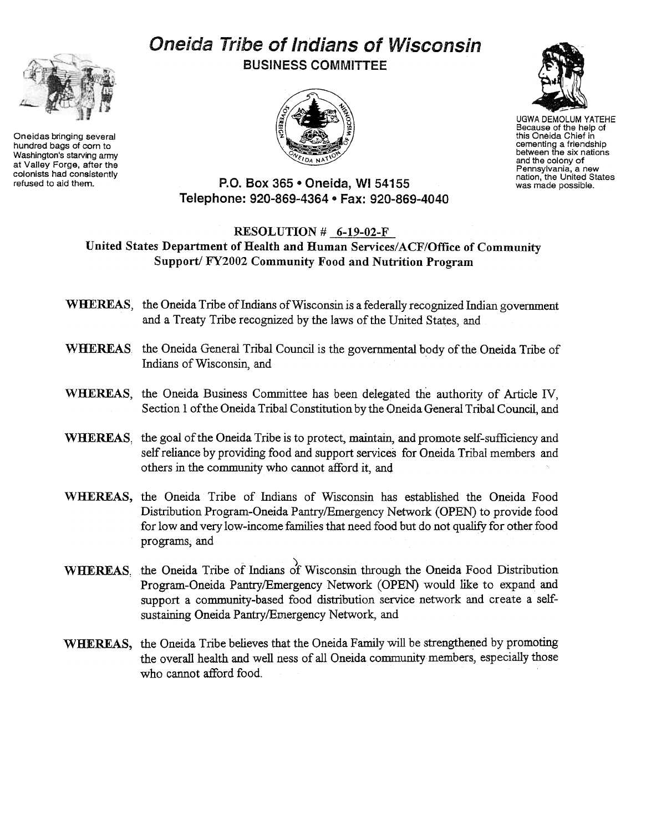## Oneida Tribe of Indians of Wisconsin BUSINESS COMMITTEE



Oneidas bringing several hundred bags of corn to Washington's starving army at Valley Forge, after the colonists had consistently<br>refused to aid them.



ESS COMINITY TEE<br>
UGWA DEMOLUM YATEHE<br>
Because of the help of<br>
this Oneida Chief in<br>
the Media Chief in the Hotel<br>
Chief Chief States<br>
The Strategy of Pennstylvania, a new<br>
perform the linited States Because of the help of this Oneida Chief in cementing a friendship<br>between the six nation and the colony of Pennsylvania, a new nation, the United States was made possible.

P.O. Box 365 . Oneida, WI 54155 Telephone: 920-869-4364 · Fax: 920-869-4040

## RESOLUTION # 6-19-02-F United States Department of Health and Human Services/ACF/Office of Community Support/ FY2002 Community Food and Nutrition Program

- WHEREAS, the Oneida Tribe of Indians of Wisconsin is a federally recognized Indian government and a Treaty Tribe recognized by the laws of the United States, and
- WHEREAS the Oneida General Tribal Council is the governmental body of the Oneida Tribe of Indians of Wisconsin, and
- WHEREAS, the Oneida Business Committee has been delegated the authority of Article IV, Section 1 of the Oneida Tribal Constitution by the Oneida General Tribal Council, and
- WHEREAS, the goal of the Oneida Tribe is to protect, maintain, and promote self-sufficiency and self reliance by providing food and support services for Oneida Tribal members and others in the community who cannot afford it, and
- WHEREAS, the Oneida Tribe of Indians of Wisconsin has established the Oneida Food Distribution Program-Oneida Pantry/Emergency Network (OPEN) to provide food for low and very low-income families that need food but do not qualify for other food programs; and
- WHEREAS, the Oneida Tribe of Indians of Wisconsin through the Oneida Food Distribution Program-Oneida Pantry/Emergency Network (OPEN) would like to expand and support a community-based food distribution service network and create a selfsustaining Oneida Pantry/Emergency Network, and
- WHEREAS, the Oneida Tribe believes that the Oneida Family will be strengthened by promoting the overall health and well ness of all Oneida community members, especially those who cannot afford food.